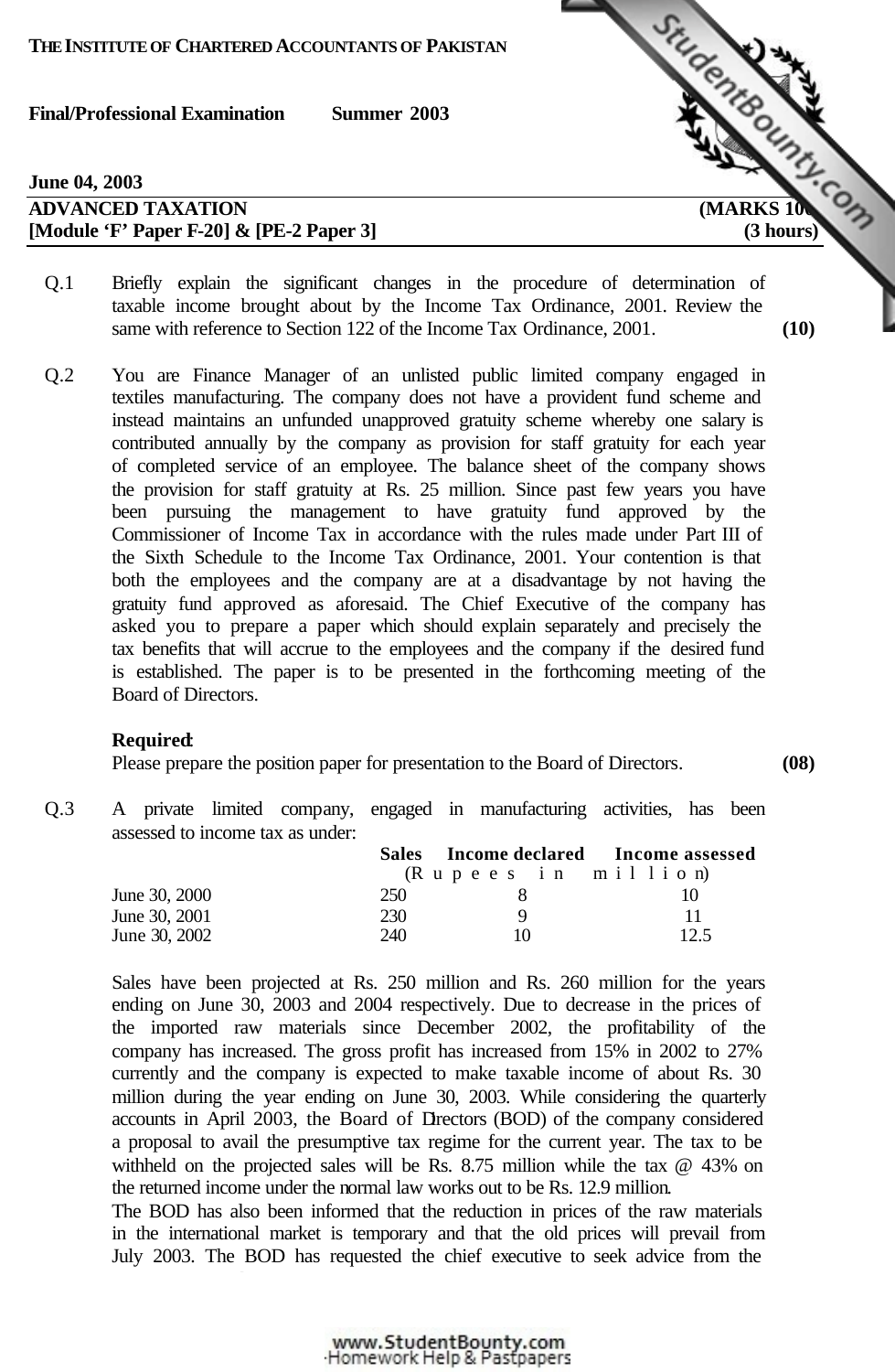| <b>June 04, 2003</b>                        |                     |
|---------------------------------------------|---------------------|
| <b>ADVANCED TAXATION</b>                    | <b>MARKS 10</b>     |
| [Module 'F' Paper F-20] $\&$ [PE-2 Paper 3] | $(3 \text{ hours})$ |

- 
- Q.1 Briefly explain the significant changes in the procedure of determination of taxable income brought about by the Income Tax Ordinance, 2001. Review the same with reference to Section 122 of the Income Tax Ordinance, 2001. **(10)**
- Q.2 You are Finance Manager of an unlisted public limited company engaged in textiles manufacturing. The company does not have a provident fund scheme and instead maintains an unfunded unapproved gratuity scheme whereby one salary is contributed annually by the company as provision for staff gratuity for each year of completed service of an employee. The balance sheet of the company shows the provision for staff gratuity at Rs. 25 million. Since past few years you have been pursuing the management to have gratuity fund approved by the Commissioner of Income Tax in accordance with the rules made under Part III of the Sixth Schedule to the Income Tax Ordinance, 2001. Your contention is that both the employees and the company are at a disadvantage by not having the gratuity fund approved as aforesaid. The Chief Executive of the company has asked you to prepare a paper which should explain separately and precisely the tax benefits that will accrue to the employees and the company if the desired fund is established. The paper is to be presented in the forthcoming meeting of the Board of Directors.

# **Required**:

Please prepare the position paper for presentation to the Board of Directors. **(08)**

Q.3 A private limited company, engaged in manufacturing activities, has been assessed to income tax as under:

|               | <b>Sales</b> |                                                                                               | Income declared Income assessed |
|---------------|--------------|-----------------------------------------------------------------------------------------------|---------------------------------|
|               |              | $(R \text{ u } p \text{ e } e \text{ s } i \text{ n } m \text{ i } l \text{ i } o \text{ n})$ |                                 |
| June 30, 2000 | 250          |                                                                                               |                                 |
| June 30, 2001 | 230          | Q                                                                                             | 11                              |
| June 30, 2002 | 240          | 10                                                                                            | 12.5                            |

Sales have been projected at Rs. 250 million and Rs. 260 million for the years ending on June 30, 2003 and 2004 respectively. Due to decrease in the prices of the imported raw materials since December 2002, the profitability of the company has increased. The gross profit has increased from 15% in 2002 to 27% currently and the company is expected to make taxable income of about Rs. 30 million during the year ending on June 30, 2003. While considering the quarterly accounts in April 2003, the Board of Directors (BOD) of the company considered a proposal to avail the presumptive tax regime for the current year. The tax to be withheld on the projected sales will be Rs. 8.75 million while the tax  $@$  43% on the returned income under the normal law works out to be Rs. 12.9 million.

The BOD has also been informed that the reduction in prices of the raw materials in the international market is temporary and that the old prices will prevail from July 2003. The BOD has requested the chief executive to seek advice from the

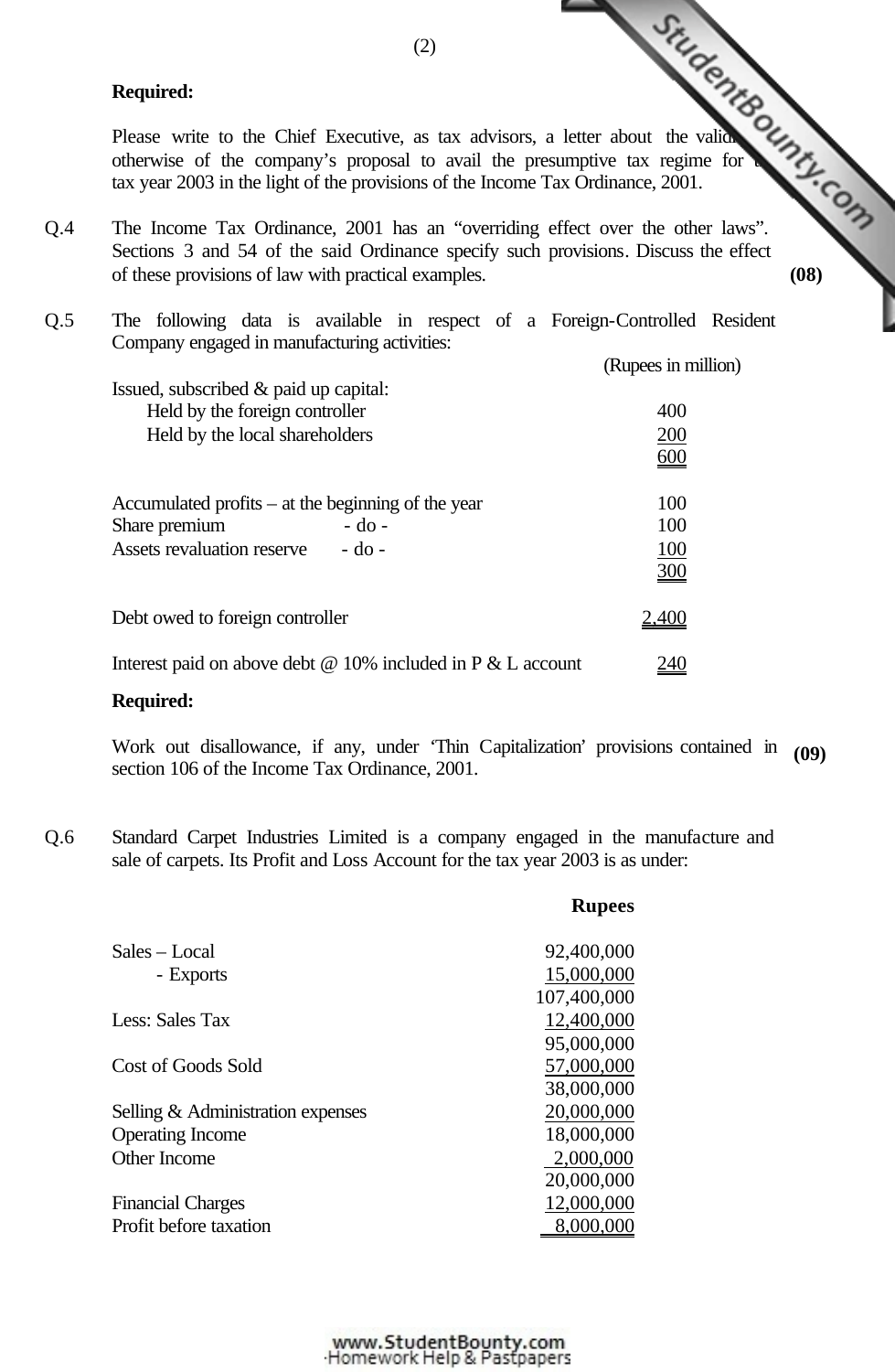### **Required:**

Required:<br>
Please write to the Chief Executive, as tax advisors, a letter about the valid of the company's proposal to avail the presumptive tax regime for  $\frac{1}{2}$ . Company is provisions of the Income Tax Ordinance, 200 otherwise of the company's proposal to avail the presumptive tax regime for tax year 2003 in the light of the provisions of the Income Tax Ordinance, 2001.

Q.4 The Income Tax Ordinance, 2001 has an "overriding effect over the other laws". Sections 3 and 54 of the said Ordinance specify such provisions. Discuss the effect of these provisions of law with practical examples. **(08)**

| Q.5 | The following data is available in respect of a Foreign-Controlled Resident |                     |  |
|-----|-----------------------------------------------------------------------------|---------------------|--|
|     | Company engaged in manufacturing activities:                                |                     |  |
|     |                                                                             | (Rupees in million) |  |
|     | Issued, subscribed & paid up capital:                                       |                     |  |
|     | Held by the foreign controller                                              | 400                 |  |
|     | Held by the local shareholders                                              | 200                 |  |
|     |                                                                             | $\underline{600}$   |  |
|     | Accumulated profits $-$ at the beginning of the year                        | 100                 |  |
|     | Share premium<br>$-do$ -                                                    | 100                 |  |
|     | Assets revaluation reserve - do -                                           | <u>100</u>          |  |
|     |                                                                             | 300                 |  |
|     | Debt owed to foreign controller                                             | <u>2,400</u>        |  |
|     | Interest paid on above debt $\omega$ 10% included in P $\&$ L account       | <u>240</u>          |  |

# **Required:**

Work out disallowance, if any, under 'Thin Capitalization' provisions contained in **(09)** section 106 of the Income Tax Ordinance, 2001.

**Rupees**

Q.6 Standard Carpet Industries Limited is a company engaged in the manufacture and sale of carpets. Its Profit and Loss Account for the tax year 2003 is as under:

| Sales – Local                     | 92,400,000  |
|-----------------------------------|-------------|
| - Exports                         | 15,000,000  |
|                                   | 107,400,000 |
| Less: Sales Tax                   | 12,400,000  |
|                                   | 95,000,000  |
| Cost of Goods Sold                | 57,000,000  |
|                                   | 38,000,000  |
| Selling & Administration expenses | 20,000,000  |
| <b>Operating Income</b>           | 18,000,000  |
| Other Income                      | 2,000,000   |
|                                   | 20,000,000  |
| <b>Financial Charges</b>          | 12,000,000  |
| Profit before taxation            |             |
|                                   |             |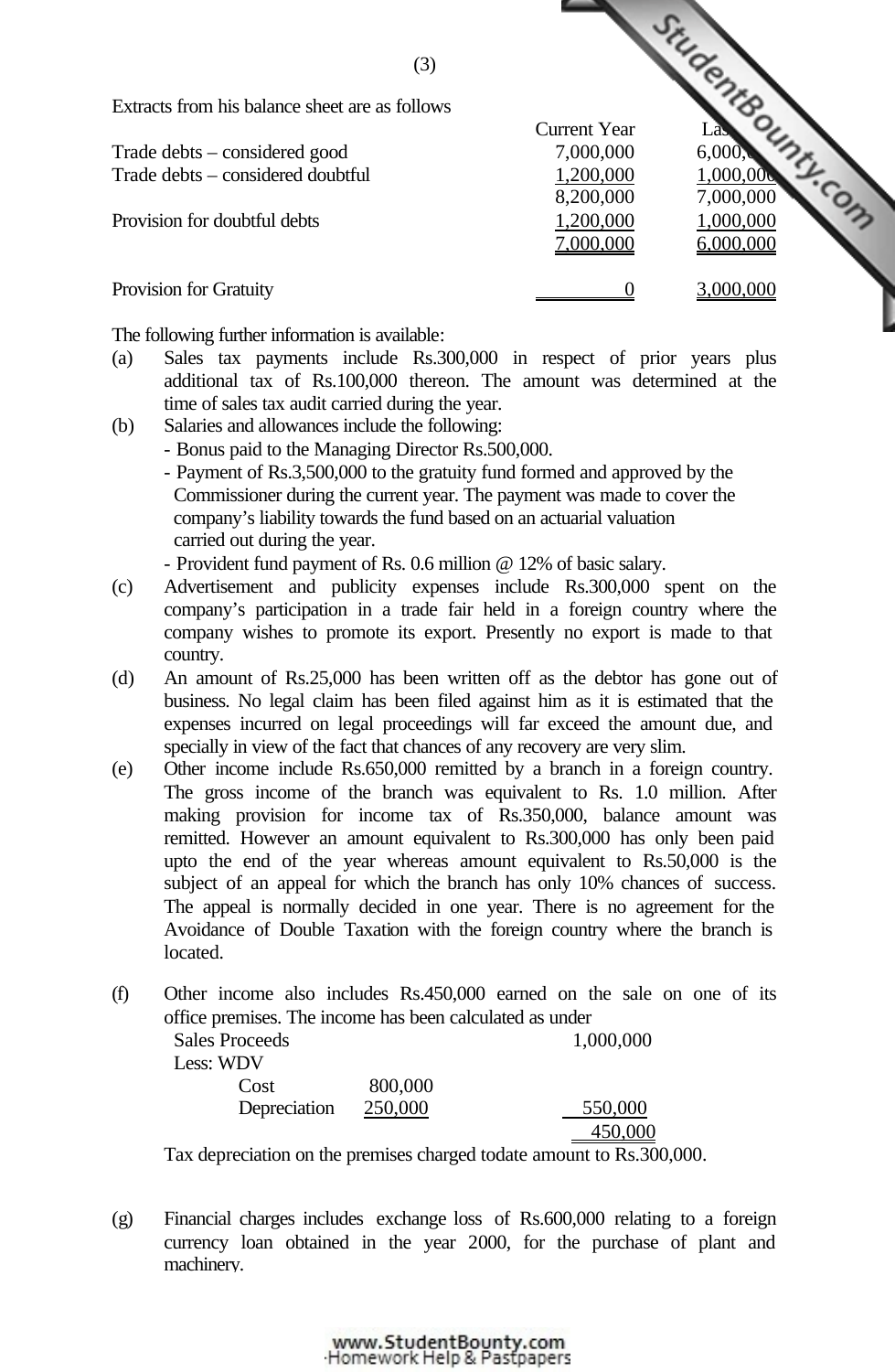| (3)                                            |                     |           |  |
|------------------------------------------------|---------------------|-----------|--|
| Extracts from his balance sheet are as follows |                     |           |  |
|                                                | <b>Current Year</b> |           |  |
| Trade debts – considered good                  | 7,000,000           | 6,000     |  |
| Trade debts – considered doubtful              | 1,200,000           | 1,000,00  |  |
|                                                | 8,200,000           | 7,000,000 |  |
| Provision for doubtful debts                   | 1,200,000           | 1,000,000 |  |
|                                                | 7,000,000           | 6,000,000 |  |
| Provision for Gratuity                         |                     | 3,000,000 |  |
|                                                |                     |           |  |

The following further information is available:

- (a) Sales tax payments include Rs.300,000 in re[spect of prior years plus](http://www.studentbounty.com/) additional tax of Rs.100,000 thereon. The amount was determined at the time of sales tax audit carried during the year.
- (b) Salaries and allowances include the following:
	- Bonus paid to the Managing Director Rs.500,000.
	- Payment of Rs.3,500,000 to the gratuity fund formed and approved by the Commissioner during the current year. The payment was made to cover the company's liability towards the fund based on an actuarial valuation carried out during the year.

- Provident fund payment of Rs. 0.6 million @ 12% of basic salary.

- (c) Advertisement and publicity expenses include Rs.300,000 spent on the company's participation in a trade fair held in a foreign country where the company wishes to promote its export. Presently no export is made to that country.
- (d) An amount of Rs.25,000 has been written off as the debtor has gone out of business. No legal claim has been filed against him as it is estimated that the expenses incurred on legal proceedings will far exceed the amount due, and specially in view of the fact that chances of any recovery are very slim.
- (e) Other income include Rs.650,000 remitted by a branch in a foreign country. The gross income of the branch was equivalent to Rs. 1.0 million. After making provision for income tax of Rs.350,000, balance amount was remitted. However an amount equivalent to Rs.300,000 has only been paid upto the end of the year whereas amount equivalent to Rs.50,000 is the subject of an appeal for which the branch has only 10% chances of success. The appeal is normally decided in one year. There is no agreement for the Avoidance of Double Taxation with the foreign country where the branch is located.
- (f) Other income also includes Rs.450,000 earned on the sale on one of its office premises. The income has been calculated as under

|           | <b>Sales Proceeds</b> |         | 1,000,000                   |
|-----------|-----------------------|---------|-----------------------------|
| Less: WDV |                       |         |                             |
|           | Cost                  | 800,000 |                             |
|           | Depreciation          | 250,000 | 550,000                     |
|           |                       |         | 450,000                     |
| --        |                       |         | $\sim$ $\sim$ $\sim$ $\sim$ |

Tax depreciation on the premises charged todate amount to Rs.300,000.

(g) Financial charges includes exchange loss of Rs.600,000 relating to a foreign currency loan obtained in the year 2000, for the purchase of plant and machinery.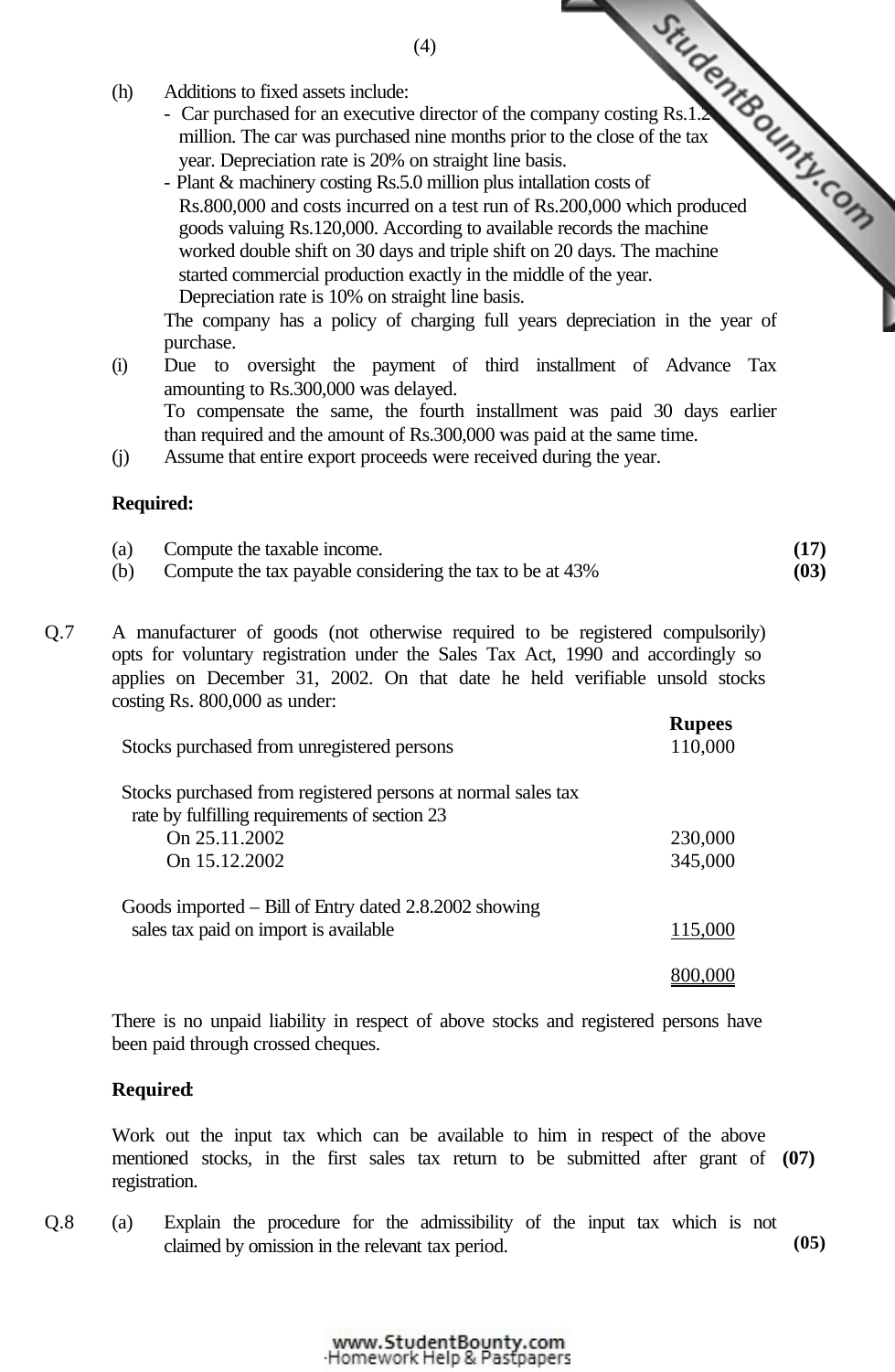- (h) Additions to fixed assets include:
	- million. The car was purchased nine months prior to the close of the tax year. Depreciation rate is 20% on straight line basis.
- Additions to fixed assets include:<br>
 Car purchased for an executive director of the company costing Rs.1.2.<br>
The car was purchased nine months prior to the close of the tax<br>  $\frac{1}{2}$ <br>  $\frac{1}{2}$ <br>  $\frac{1}{2}$ <br>  $\frac{1}{2}$ <br>  $\$ - Plant & machinery costing Rs.5.0 million plus intallation costs of Rs.800,000 and costs incurred on a test run of Rs.200,000 which produced goods valuing Rs.120,000. According to available records the machine worked double shift on 30 days and triple shift on 20 days. The machine started commercial production exactly in the middle of the year. Depreciation rate is 10% on straight line basis.

The company has a policy of charging full years depreciation in the year of purchase.

- (i) Due to oversight the payment of third ins[tallment of Advance Tax](http://www.studentbounty.com/) amounting to Rs.300,000 was delayed. To compensate the same, the fourth installment was paid 30 days earlier than required and the amount of Rs.300,000 was paid at the same time.
- (j) Assume that entire export proceeds were received during the year.

### **Required:**

| (a) | Compute the taxable income.                              |      |
|-----|----------------------------------------------------------|------|
| (b) | Compute the tax payable considering the tax to be at 43% | (03) |

Q.7 A manufacturer of goods (not otherwise required to be registered compulsorily) opts for voluntary registration under the Sales Tax Act, 1990 and accordingly so applies on December 31, 2002. On that date he held verifiable unsold stocks costing Rs. 800,000 as under:

| Stocks purchased from unregistered persons                   | <b>Rupees</b><br>110,000 |
|--------------------------------------------------------------|--------------------------|
| Stocks purchased from registered persons at normal sales tax |                          |
| rate by fulfilling requirements of section 23                |                          |
| On 25.11.2002                                                | 230,000                  |
| On 15.12.2002                                                | 345,000                  |
| Goods imported $-$ Bill of Entry dated 2.8.2002 showing      |                          |
| sales tax paid on import is available                        | 115,000                  |
|                                                              |                          |

There is no unpaid liability in respect of above stocks and registered persons have been paid through crossed cheques.

# **Required**:

Work out the input tax which can be available to him in respect of the above mentioned stocks, in the first sales tax return to be submitted after grant of **(07)** registration.

Q.8 (a) Explain the procedure for the admissibility of the input tax which is not claimed by omission in the relevant tax period. **(05)**